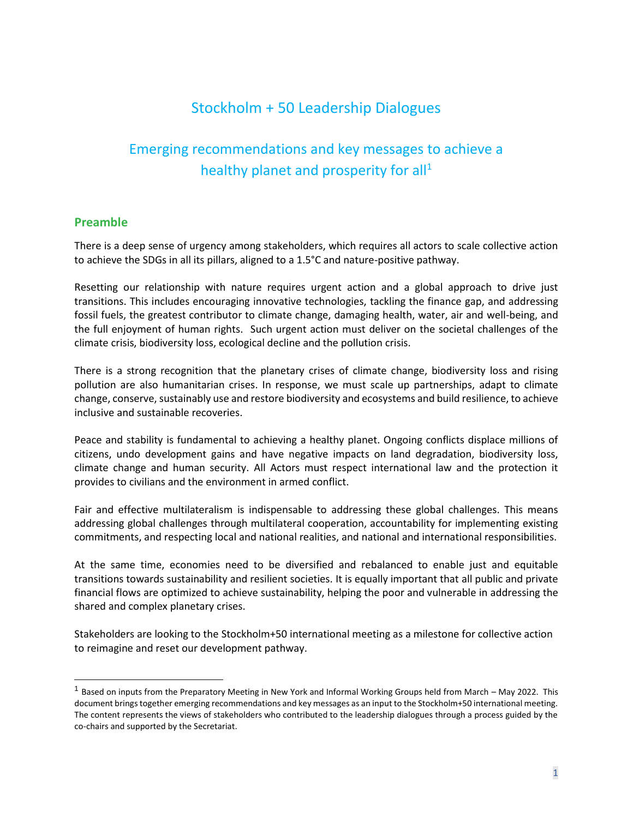## Stockholm + 50 Leadership Dialogues

# Emerging recommendations and key messages to achieve a healthy planet and prosperity for all<sup>1</sup>

#### **Preamble**

There is a deep sense of urgency among stakeholders, which requires all actors to scale collective action to achieve the SDGs in all its pillars, aligned to a 1.5°C and nature-positive pathway.

Resetting our relationship with nature requires urgent action and a global approach to drive just transitions. This includes encouraging innovative technologies, tackling the finance gap, and addressing fossil fuels, the greatest contributor to climate change, damaging health, water, air and well-being, and the full enjoyment of human rights. Such urgent action must deliver on the societal challenges of the climate crisis, biodiversity loss, ecological decline and the pollution crisis.

There is a strong recognition that the planetary crises of climate change, biodiversity loss and rising pollution are also humanitarian crises. In response, we must scale up partnerships, adapt to climate change, conserve, sustainably use and restore biodiversity and ecosystems and build resilience, to achieve inclusive and sustainable recoveries.

Peace and stability is fundamental to achieving a healthy planet. Ongoing conflicts displace millions of citizens, undo development gains and have negative impacts on land degradation, biodiversity loss, climate change and human security. All Actors must respect international law and the protection it provides to civilians and the environment in armed conflict.

Fair and effective multilateralism is indispensable to addressing these global challenges. This means addressing global challenges through multilateral cooperation, accountability for implementing existing commitments, and respecting local and national realities, and national and international responsibilities.

At the same time, economies need to be diversified and rebalanced to enable just and equitable transitions towards sustainability and resilient societies. It is equally important that all public and private financial flows are optimized to achieve sustainability, helping the poor and vulnerable in addressing the shared and complex planetary crises.

Stakeholders are looking to the Stockholm+50 international meeting as a milestone for collective action to reimagine and reset our development pathway.

<sup>&</sup>lt;sup>1</sup> Based on inputs from the Preparatory Meeting in New York and Informal Working Groups held from March – May 2022. This document brings together emerging recommendations and key messages as an input to the Stockholm+50 international meeting. The content represents the views of stakeholders who contributed to the leadership dialogues through a process guided by the co-chairs and supported by the Secretariat.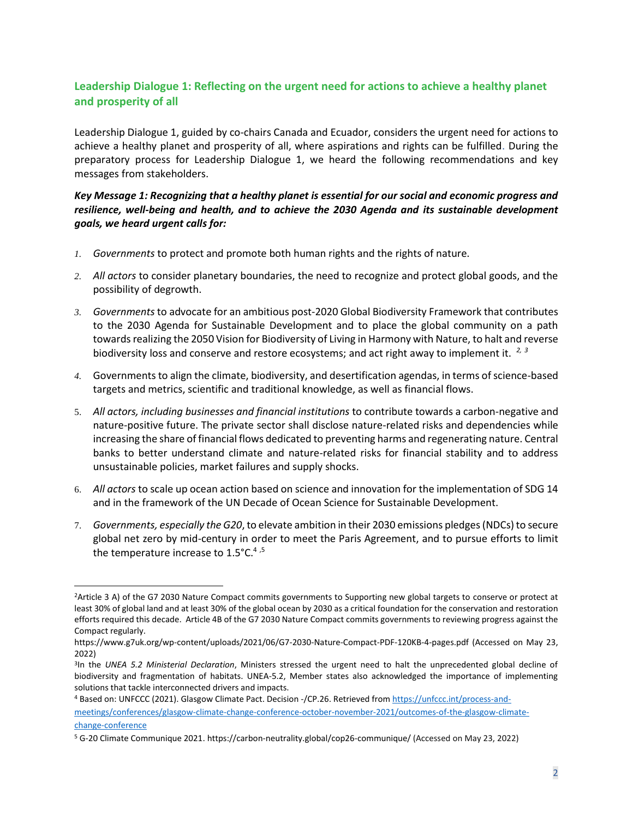## **Leadership Dialogue 1: Reflecting on the urgent need for actions to achieve a healthy planet and prosperity of all**

Leadership Dialogue 1, guided by co-chairs Canada and Ecuador, considers the urgent need for actions to achieve a healthy planet and prosperity of all, where aspirations and rights can be fulfilled. During the preparatory process for Leadership Dialogue 1, we heard the following recommendations and key messages from stakeholders.

#### *Key Message 1: Recognizing that a healthy planet is essential for our social and economic progress and resilience, well-being and health, and to achieve the 2030 Agenda and its sustainable development goals, we heard urgent calls for:*

- *1. Governments* to protect and promote both human rights and the rights of nature.
- *2. All actors* to consider planetary boundaries, the need to recognize and protect global goods, and the possibility of degrowth.
- *3. Governments* to advocate for an ambitious post-2020 Global Biodiversity Framework that contributes to the 2030 Agenda for Sustainable Development and to place the global community on a path towards realizing the 2050 Vision for Biodiversity of Living in Harmony with Nature, to halt and reverse biodiversity loss and conserve and restore ecosystems; and act right away to implement it. *2, 3*
- 4. Governments to align the climate, biodiversity, and desertification agendas, in terms of science-based targets and metrics, scientific and traditional knowledge, as well as financial flows.
- 5. *All actors, including businesses and financial institutions* to contribute towards a carbon-negative and nature-positive future. The private sector shall disclose nature-related risks and dependencies while increasing the share of financial flows dedicated to preventing harms and regenerating nature. Central banks to better understand climate and nature-related risks for financial stability and to address unsustainable policies, market failures and supply shocks.
- 6. *All actors* to scale up ocean action based on science and innovation for the implementation of SDG 14 and in the framework of the UN Decade of Ocean Science for Sustainable Development.
- 7. *Governments, especially the G20*, to elevate ambition in their 2030 emissions pledges (NDCs) to secure global net zero by mid-century in order to meet the Paris Agreement, and to pursue efforts to limit the temperature increase to  $1.5^{\circ}$ C.<sup>4,5</sup>

<sup>2</sup>Article 3 A) of the G7 2030 Nature Compact commits governments to Supporting new global targets to conserve or protect at least 30% of global land and at least 30% of the global ocean by 2030 as a critical foundation for the conservation and restoration efforts required this decade. Article 4B of the G7 2030 Nature Compact commits governments to reviewing progress against the Compact regularly.

<https://www.g7uk.org/wp-content/uploads/2021/06/G7-2030-Nature-Compact-PDF-120KB-4-pages.pdf> (Accessed on May 23, 2022)

<sup>3</sup> In the *UNEA 5.2 Ministerial Declaration*, Ministers stressed the urgent need to halt the unprecedented global decline of biodiversity and fragmentation of habitats. UNEA-5.2, Member states also acknowledged the importance of implementing solutions that tackle interconnected drivers and impacts.

<sup>4</sup> Based on: UNFCCC (2021). Glasgow Climate Pact. Decision -/CP.26. Retrieved from [https://unfccc.int/process-and](https://unfccc.int/process-and-meetings/conferences/glasgow-climate-change-conference-october-november-2021/outcomes-of-the-glasgow-climate-change-conference)[meetings/conferences/glasgow-climate-change-conference-october-november-2021/outcomes-of-the-glasgow-climate](https://unfccc.int/process-and-meetings/conferences/glasgow-climate-change-conference-october-november-2021/outcomes-of-the-glasgow-climate-change-conference)[change-conference](https://unfccc.int/process-and-meetings/conferences/glasgow-climate-change-conference-october-november-2021/outcomes-of-the-glasgow-climate-change-conference)

<sup>5</sup> G-20 Climate Communique 2021[. https://carbon-neutrality.global/cop26-communique/](https://carbon-neutrality.global/cop26-communique/) (Accessed on May 23, 2022)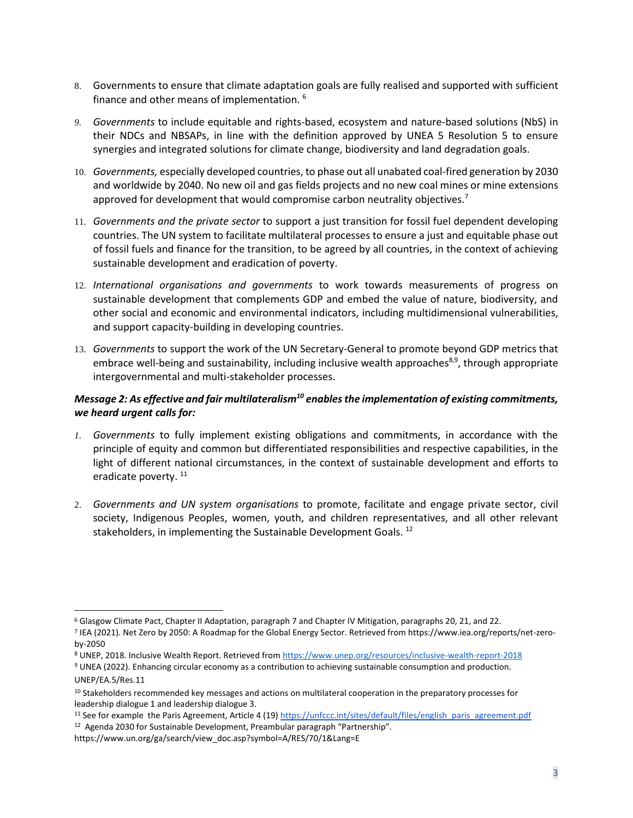- 8. Governments to ensure that climate adaptation goals are fully realised and supported with sufficient finance and other means of implementation. <sup>6</sup>
- *9. Governments* to include equitable and rights-based, ecosystem and nature-based solutions (NbS) in their NDCs and NBSAPs, in line with the definition approved by UNEA 5 Resolution 5 to ensure synergies and integrated solutions for climate change, biodiversity and land degradation goals.
- 10. *Governments,* especially developed countries, to phase out all unabated coal-fired generation by 2030 and worldwide by 2040. No new oil and gas fields projects and no new coal mines or mine extensions approved for development that would compromise carbon neutrality objectives.<sup>7</sup>
- 11. *Governments and the private sector* to support a just transition for fossil fuel dependent developing countries. The UN system to facilitate multilateral processes to ensure a just and equitable phase out of fossil fuels and finance for the transition, to be agreed by all countries, in the context of achieving sustainable development and eradication of poverty.
- 12. *International organisations and governments* to work towards measurements of progress on sustainable development that complements GDP and embed the value of nature, biodiversity, and other social and economic and environmental indicators, including multidimensional vulnerabilities, and support capacity-building in developing countries.
- 13. *Governments* to support the work of the UN Secretary-General to promote beyond GDP metrics that embrace well-being and sustainability, including inclusive wealth approaches<sup>8,9</sup>, through appropriate intergovernmental and multi-stakeholder processes.

## *Message 2: As effective and fair multilateralism<sup>10</sup> enables the implementation of existing commitments, we heard urgent calls for:*

- *1. Governments* to fully implement existing obligations and commitments, in accordance with the principle of equity and common but differentiated responsibilities and respective capabilities, in the light of different national circumstances, in the context of sustainable development and efforts to eradicate poverty.<sup>11</sup>
- 2. *Governments and UN system organisations* to promote, facilitate and engage private sector, civil society, Indigenous Peoples, women, youth, and children representatives, and all other relevant stakeholders, in implementing the Sustainable Development Goals.<sup>12</sup>

<sup>6</sup> Glasgow Climate Pact, Chapter II Adaptation, paragraph 7 and Chapter IV Mitigation, paragraphs 20, 21, and 22.

<sup>7</sup> IEA (2021). Net Zero by 2050: A Roadmap for the Global Energy Sector. Retrieved from https://www.iea.org/reports/net-zeroby-2050

<sup>8</sup> UNEP, 2018. Inclusive Wealth Report. Retrieved fro[m https://www.unep.org/resources/inclusive-wealth-report-2018](https://www.unep.org/resources/inclusive-wealth-report-2018)

<sup>9</sup> UNEA (2022). Enhancing circular economy as a contribution to achieving sustainable consumption and production. UNEP/EA.5/Res.11

<sup>&</sup>lt;sup>10</sup> Stakeholders recommended key messages and actions on multilateral cooperation in the preparatory processes for leadership dialogue 1 and leadership dialogue 3.

<sup>&</sup>lt;sup>11</sup> See for example the Paris Agreement, Article 4 (19[\) https://unfccc.int/sites/default/files/english\\_paris\\_agreement.pdf](https://unfccc.int/sites/default/files/english_paris_agreement.pdf) <sup>12</sup> Agenda 2030 for Sustainable Development, Preambular paragraph "Partnership".

https://www.un.org/ga/search/view\_doc.asp?symbol=A/RES/70/1&Lang=E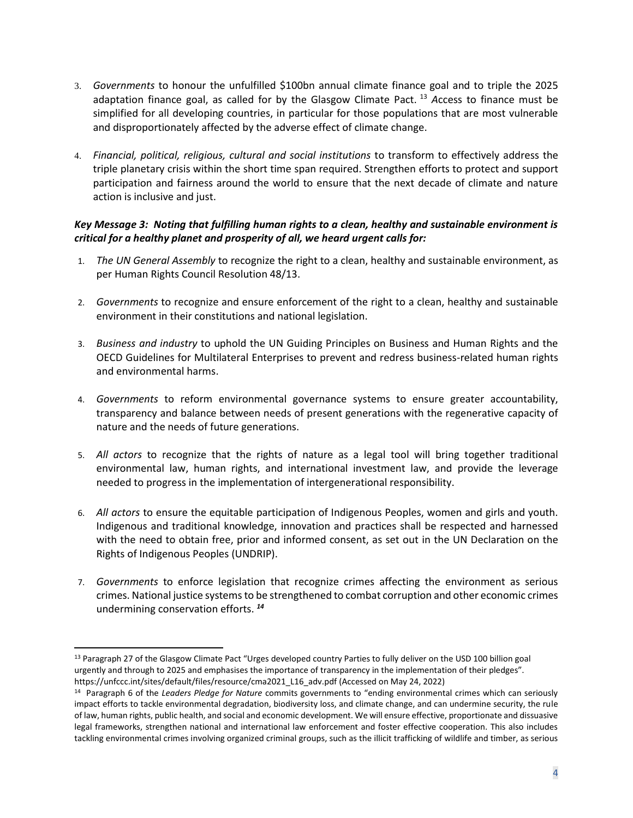- 3. *Governments* to honour the unfulfilled \$100bn annual climate finance goal and to triple the 2025 adaptation finance goal, as called for by the Glasgow Climate Pact. <sup>13</sup> *A*ccess to finance must be simplified for all developing countries, in particular for those populations that are most vulnerable and disproportionately affected by the adverse effect of climate change.
- 4. *Financial, political, religious, cultural and social institutions* to transform to effectively address the triple planetary crisis within the short time span required. Strengthen efforts to protect and support participation and fairness around the world to ensure that the next decade of climate and nature action is inclusive and just.

## *Key Message 3: Noting that fulfilling human rights to a clean, healthy and sustainable environment is critical for a healthy planet and prosperity of all, we heard urgent calls for:*

- 1. *The UN General Assembly* to recognize the right to a clean, healthy and sustainable environment, as per Human Rights Council Resolution 48/13.
- 2. *Governments* to recognize and ensure enforcement of the right to a clean, healthy and sustainable environment in their constitutions and national legislation.
- 3. *Business and industry* to uphold the UN Guiding Principles on Business and Human Rights and the OECD Guidelines for Multilateral Enterprises to prevent and redress business-related human rights and environmental harms.
- 4. *Governments* to reform environmental governance systems to ensure greater accountability, transparency and balance between needs of present generations with the regenerative capacity of nature and the needs of future generations.
- 5. *All actors* to recognize that the rights of nature as a legal tool will bring together traditional environmental law, human rights, and international investment law, and provide the leverage needed to progress in the implementation of intergenerational responsibility.
- 6. *All actors* to ensure the equitable participation of Indigenous Peoples, women and girls and youth. Indigenous and traditional knowledge, innovation and practices shall be respected and harnessed with the need to obtain free, prior and informed consent, as set out in the UN Declaration on the Rights of Indigenous Peoples (UNDRIP).
- 7. *Governments* to enforce legislation that recognize crimes affecting the environment as serious crimes. National justice systems to be strengthened to combat corruption and other economic crimes undermining conservation efforts. *<sup>14</sup>*

<sup>&</sup>lt;sup>13</sup> Paragraph 27 of the Glasgow Climate Pact "Urges developed country Parties to fully deliver on the USD 100 billion goal urgently and through to 2025 and emphasises the importance of transparency in the implementation of their pledges". [https://unfccc.int/sites/default/files/resource/cma2021\\_L16\\_adv.pdf](https://unfccc.int/sites/default/files/resource/cma2021_L16_adv.pdf) (Accessed on May 24, 2022)

<sup>14</sup> Paragraph 6 of the *Leaders Pledge for Nature* commits governments to "ending environmental crimes which can seriously impact efforts to tackle environmental degradation, biodiversity loss, and climate change, and can undermine security, the rule of law, human rights, public health, and social and economic development. We will ensure effective, proportionate and dissuasive legal frameworks, strengthen national and international law enforcement and foster effective cooperation. This also includes tackling environmental crimes involving organized criminal groups, such as the illicit trafficking of wildlife and timber, as serious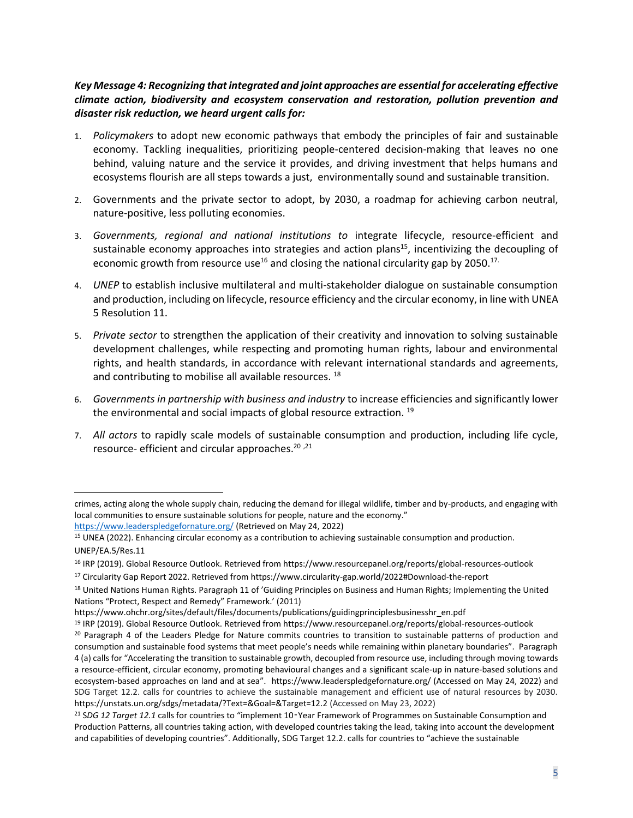## *Key Message 4: Recognizing that integrated and joint approaches are essential for accelerating effective climate action, biodiversity and ecosystem conservation and restoration, pollution prevention and disaster risk reduction, we heard urgent calls for:*

- 1. *Policymakers* to adopt new economic pathways that embody the principles of fair and sustainable economy. Tackling inequalities, prioritizing people-centered decision-making that leaves no one behind, valuing nature and the service it provides, and driving investment that helps humans and ecosystems flourish are all steps towards a just, environmentally sound and sustainable transition.
- 2. Governments and the private sector to adopt, by 2030, a roadmap for achieving carbon neutral, nature-positive, less polluting economies.
- 3. *Governments, regional and national institutions to* integrate lifecycle, resource-efficient and sustainable economy approaches into strategies and action plans<sup>15</sup>, incentivizing the decoupling of economic growth from resource use<sup>16</sup> and closing the national circularity gap by 2050.<sup>17.</sup>
- 4. *UNEP* to establish inclusive multilateral and multi-stakeholder dialogue on sustainable consumption and production, including on lifecycle, resource efficiency and the circular economy, in line with UNEA 5 Resolution 11.
- 5. *Private sector* to strengthen the application of their creativity and innovation to solving sustainable development challenges, while respecting and promoting human rights, labour and environmental rights, and health standards, in accordance with relevant international standards and agreements, and contributing to mobilise all available resources.<sup>18</sup>
- 6. *Governments in partnership with business and industry* to increase efficiencies and significantly lower the environmental and social impacts of global resource extraction. <sup>19</sup>
- 7. *All actors* to rapidly scale models of sustainable consumption and production, including life cycle, resource- efficient and circular approaches. 20 ,21

crimes, acting along the whole supply chain, reducing the demand for illegal wildlife, timber and by-products, and engaging with local communities to ensure sustainable solutions for people, nature and the economy." <https://www.leaderspledgefornature.org/> (Retrieved on May 24, 2022)

<sup>15</sup> UNEA (2022). Enhancing circular economy as a contribution to achieving sustainable consumption and production. UNEP/EA.5/Res.11

<sup>16</sup> IRP (2019). Global Resource Outlook. Retrieved from https://www.resourcepanel.org/reports/global-resources-outlook

<sup>17</sup> Circularity Gap Report 2022. Retrieved from https://www.circularity-gap.world/2022#Download-the-report

<sup>&</sup>lt;sup>18</sup> United Nations Human Rights. Paragraph 11 of 'Guiding Principles on Business and Human Rights; Implementing the United Nations "Protect, Respect and Remedy" Framework.' (2011)

https://www.ohchr.org/sites/default/files/documents/publications/guidingprinciplesbusinesshr\_en.pdf

<sup>19</sup> IRP (2019). Global Resource Outlook. Retrieved from https://www.resourcepanel.org/reports/global-resources-outlook <sup>20</sup> Paragraph 4 of the Leaders Pledge for Nature commits countries to transition to sustainable patterns of production and consumption and sustainable food systems that meet people's needs while remaining within planetary boundaries". Paragraph 4 (a) calls for "Accelerating the transition to sustainable growth, decoupled from resource use, including through moving towards a resource-efficient, circular economy, promoting behavioural changes and a significant scale-up in nature-based solutions and ecosystem-based approaches on land and at sea". <https://www.leaderspledgefornature.org/> (Accessed on May 24, 2022) and SDG Target 12.2. calls for countries to achieve the sustainable management and efficient use of natural resources by 2030. <https://unstats.un.org/sdgs/metadata/?Text=&Goal=&Target=12.2> (Accessed on May 23, 2022)

<sup>21</sup> S*DG 12 Target 12.1* calls for countries to "implement 10‑Year Framework of Programmes on Sustainable Consumption and Production Patterns, all countries taking action, with developed countries taking the lead, taking into account the development and capabilities of developing countries". Additionally, SDG Target 12.2. calls for countries to "achieve the sustainable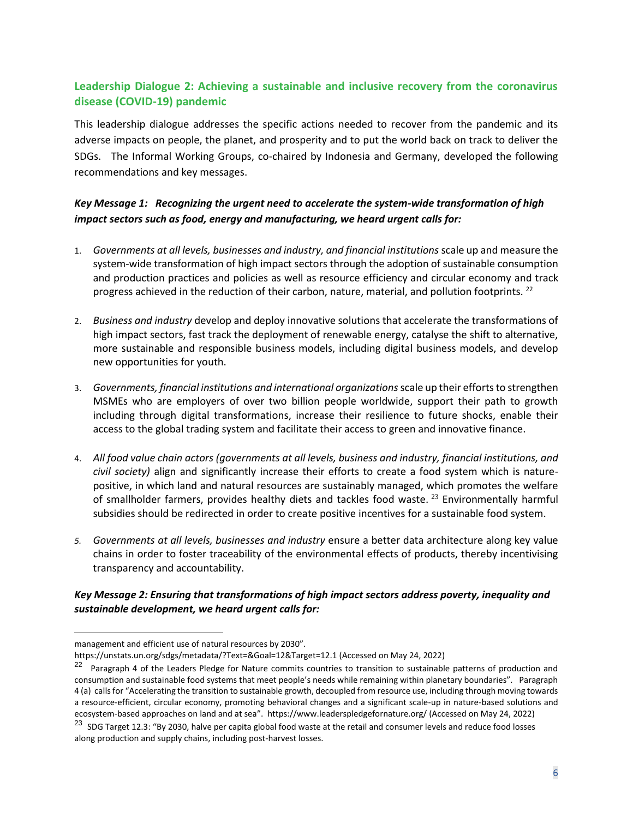## **Leadership Dialogue 2: Achieving a sustainable and inclusive recovery from the coronavirus disease (COVID-19) pandemic**

This leadership dialogue addresses the specific actions needed to recover from the pandemic and its adverse impacts on people, the planet, and prosperity and to put the world back on track to deliver the SDGs. The Informal Working Groups, co-chaired by Indonesia and Germany, developed the following recommendations and key messages.

## *Key Message 1: Recognizing the urgent need to accelerate the system-wide transformation of high impact sectors such as food, energy and manufacturing, we heard urgent calls for:*

- 1. *Governments at all levels, businesses and industry, and financial institutions* scale up and measure the system-wide transformation of high impact sectors through the adoption of sustainable consumption and production practices and policies as well as resource efficiency and circular economy and track progress achieved in the reduction of their carbon, nature, material, and pollution footprints.<sup>22</sup>
- 2. *Business and industry* develop and deploy innovative solutions that accelerate the transformations of high impact sectors, fast track the deployment of renewable energy, catalyse the shift to alternative, more sustainable and responsible business models, including digital business models, and develop new opportunities for youth.
- 3. *Governments, financial institutions and international organizations*scale up their efforts to strengthen MSMEs who are employers of over two billion people worldwide, support their path to growth including through digital transformations, increase their resilience to future shocks, enable their access to the global trading system and facilitate their access to green and innovative finance.
- 4. *All food value chain actors (governments at all levels, business and industry, financial institutions, and civil society)* align and significantly increase their efforts to create a food system which is naturepositive, in which land and natural resources are sustainably managed, which promotes the welfare of smallholder farmers, provides healthy diets and tackles food waste. <sup>23</sup> Environmentally harmful subsidies should be redirected in order to create positive incentives for a sustainable food system.
- *5. Governments at all levels, businesses and industry* ensure a better data architecture along key value chains in order to foster traceability of the environmental effects of products, thereby incentivising transparency and accountability.

#### *Key Message 2: Ensuring that transformations of high impact sectors address poverty, inequality and sustainable development, we heard urgent calls for:*

management and efficient use of natural resources by 2030".

<https://unstats.un.org/sdgs/metadata/?Text=&Goal=12&Target=12.1> (Accessed on May 24, 2022)

<sup>&</sup>lt;sup>22</sup> Paragraph 4 of the Leaders Pledge for Nature commits countries to transition to sustainable patterns of production and consumption and sustainable food systems that meet people's needs while remaining within planetary boundaries". Paragraph 4 (a) calls for "Accelerating the transition to sustainable growth, decoupled from resource use, including through moving towards a resource-efficient, circular economy, promoting behavioral changes and a significant scale-up in nature-based solutions and ecosystem-based approaches on land and at sea". <https://www.leaderspledgefornature.org/> (Accessed on May 24, 2022)

<sup>&</sup>lt;sup>23</sup> SDG Target 12.3: "By 2030, halve per capita global food waste at the retail and consumer levels and reduce food losses along production and supply chains, including post-harvest losses.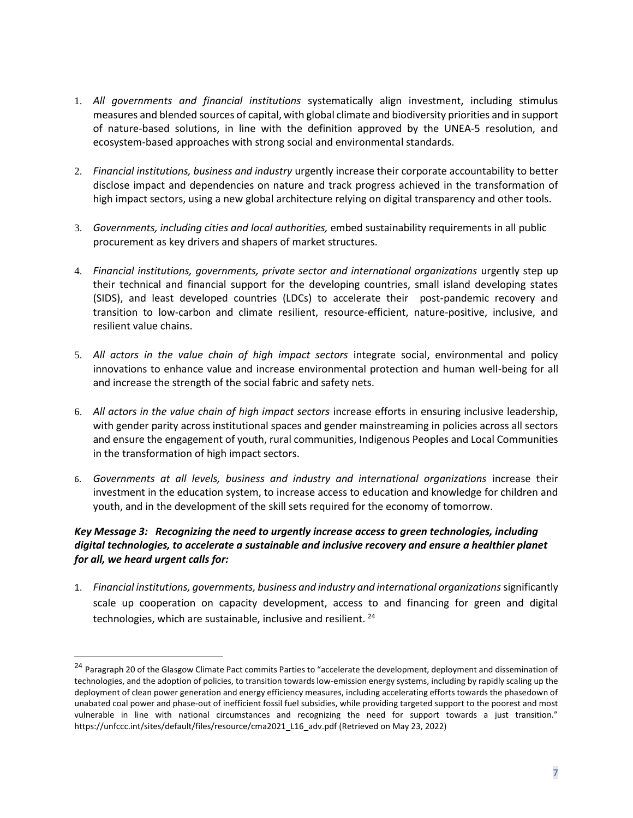- 1. *All governments and financial institutions* systematically align investment, including stimulus measures and blended sources of capital, with global climate and biodiversity priorities and in support of nature-based solutions, in line with the definition approved by the UNEA-5 resolution, and ecosystem-based approaches with strong social and environmental standards.
- 2. *Financial institutions, business and industry* urgently increase their corporate accountability to better disclose impact and dependencies on nature and track progress achieved in the transformation of high impact sectors, using a new global architecture relying on digital transparency and other tools.
- 3. *Governments, including cities and local authorities,* embed sustainability requirements in all public procurement as key drivers and shapers of market structures.
- 4. *Financial institutions, governments, private sector and international organizations* urgently step up their technical and financial support for the developing countries, small island developing states (SIDS), and least developed countries (LDCs) to accelerate their post-pandemic recovery and transition to [low-carbon and climate resilient, resource-efficient, nature-positive, inclusive, and](https://wwf.panda.org/discover/our_focus/food_practice/sustainable_production/?)  [resilient value chains.](https://wwf.panda.org/discover/our_focus/food_practice/sustainable_production/?)
- 5. *All actors in the value chain of high impact sectors* integrate social, environmental and policy innovations to enhance value and increase environmental protection and human well-being for all and increase the strength of the social fabric and safety nets.
- 6. *All actors in the value chain of high impact sectors* increase efforts in ensuring inclusive leadership, with gender parity across institutional spaces and gender mainstreaming in policies across all sectors and ensure the engagement of youth, rural communities, Indigenous Peoples and Local Communities in the transformation of high impact sectors.
- 6. *Governments at all levels, business and industry and international organizations* increase their investment in the education system, to increase access to education and knowledge for children and youth, and in the development of the skill sets required for the economy of tomorrow.

## *Key Message 3: Recognizing the need to urgently increase access to green technologies, including digital technologies, to accelerate a sustainable and inclusive recovery and ensure a healthier planet for all, we heard urgent calls for:*

1. *Financial institutions, governments, business and industry and international organizations* significantly scale up cooperation on capacity development, access to and financing for green and digital technologies, which are sustainable, inclusive and resilient.  $24$ 

<sup>&</sup>lt;sup>24</sup> Paragraph 20 of the Glasgow Climate Pact commits Parties to "accelerate the development, deployment and dissemination of technologies, and the adoption of policies, to transition towards low-emission energy systems, including by rapidly scaling up the deployment of clean power generation and energy efficiency measures, including accelerating efforts towards the phasedown of unabated coal power and phase-out of inefficient fossil fuel subsidies, while providing targeted support to the poorest and most vulnerable in line with national circumstances and recognizing the need for support towards a just transition." [https://unfccc.int/sites/default/files/resource/cma2021\\_L16\\_adv.pdf](https://unfccc.int/sites/default/files/resource/cma2021_L16_adv.pdf) (Retrieved on May 23, 2022)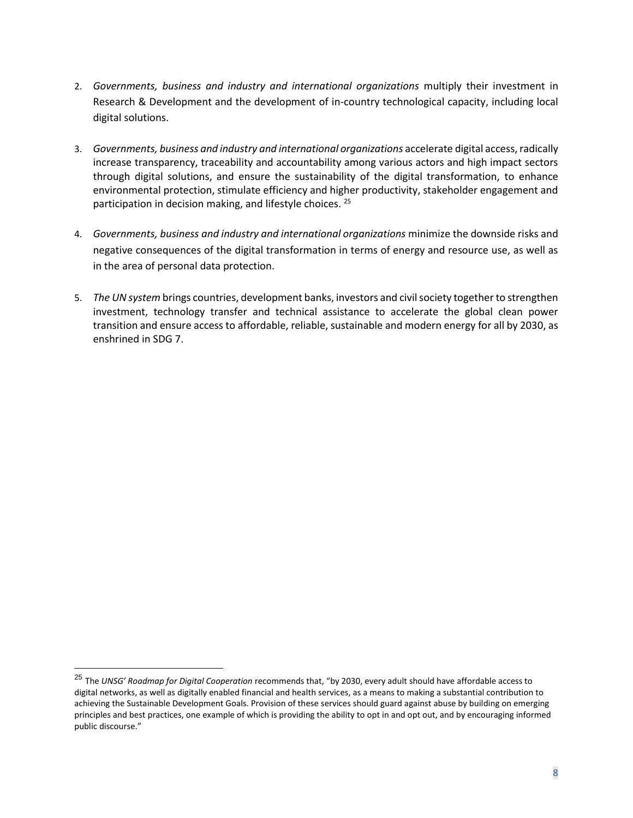- 2. *Governments, business and industry and international organizations* multiply their investment in Research & Development and the development of in-country technological capacity, including local digital solutions.
- 3. *Governments, business and industry and international organizations* accelerate digital access, radically increase transparency, traceability and accountability among various actors and high impact sectors through digital solutions, and ensure the sustainability of the digital transformation, to enhance environmental protection, stimulate efficiency and higher productivity, stakeholder engagement and participation in decision making, and lifestyle choices. <sup>25</sup>
- 4. *Governments, business and industry and international organizations* minimize the downside risks and negative consequences of the digital transformation in terms of energy and resource use, as well as in the area of personal data protection.
- 5. *The UN system* brings countries, development banks, investors and civil society together to strengthen investment, technology transfer and technical assistance to accelerate the global clean power transition and ensure access to affordable, reliable, sustainable and modern energy for all by 2030, as enshrined in SDG 7.

<sup>25</sup> The *UNSG' Roadmap for Digital Cooperation* recommends that, "by 2030, every adult should have affordable access to digital networks, as well as digitally enabled financial and health services, as a means to making a substantial contribution to achieving the Sustainable Development Goals. Provision of these services should guard against abuse by building on emerging principles and best practices, one example of which is providing the ability to opt in and opt out, and by encouraging informed public discourse."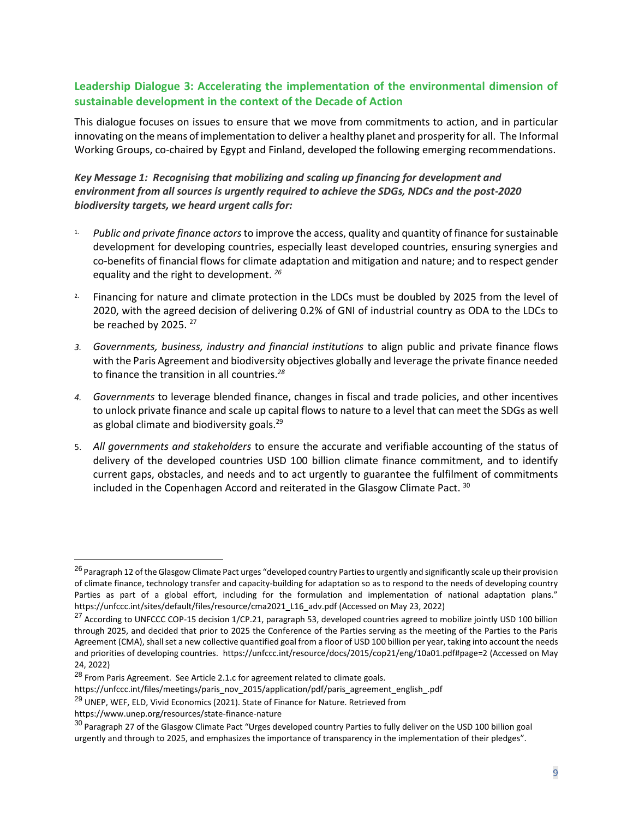## **Leadership Dialogue 3: Accelerating the implementation of the environmental dimension of sustainable development in the context of the Decade of Action**

This dialogue focuses on issues to ensure that we move from commitments to action, and in particular innovating on the means of implementation to deliver a healthy planet and prosperity for all. The Informal Working Groups, co-chaired by Egypt and Finland, developed the following emerging recommendations.

## *Key Message 1: Recognising that mobilizing and scaling up financing for development and environment from all sources is urgently required to achieve the SDGs, NDCs and the post-2020 biodiversity targets, we heard urgent calls for:*

- 1. *Public and private finance actors*to improve the access, quality and quantity of finance for sustainable development for developing countries, especially least developed countries, ensuring synergies and co-benefits of financial flows for climate adaptation and mitigation and nature; and to respect gender equality and the right to development. *<sup>26</sup>*
- <sup>2</sup>. Financing for nature and climate protection in the LDCs must be doubled by 2025 from the level of 2020, with the agreed decision of delivering 0.2% of GNI of industrial country as ODA to the LDCs to be reached by 2025.  $27$
- *3. Governments, business, industry and financial institutions* to align public and private finance flows with the Paris Agreement and biodiversity objectives globally and leverage the private finance needed to finance the transition in all countries.*<sup>28</sup>*
- *4. Governments* to leverage blended finance, changes in fiscal and trade policies, and other incentives to unlock private finance and scale up capital flows to nature to a level that can meet the SDGs as well as global climate and biodiversity goals.<sup>29</sup>
- 5. *All governments and stakeholders* to ensure the accurate and verifiable accounting of the status of delivery of the developed countries USD 100 billion climate finance commitment, and to identify current gaps, obstacles, and needs and to act urgently to guarantee the fulfilment of commitments included in the Copenhagen Accord and reiterated in the Glasgow Climate Pact. <sup>30</sup>

<sup>29</sup> UNEP, WEF, ELD, Vivid Economics (2021). State of Finance for Nature. Retrieved from

https://www.unep.org/resources/state-finance-nature

<sup>&</sup>lt;sup>26</sup> Paragraph 12 of the Glasgow Climate Pact urges "developed country Parties to urgently and significantly scale up their provision of climate finance, technology transfer and capacity-building for adaptation so as to respond to the needs of developing country Parties as part of a global effort, including for the formulation and implementation of national adaptation plans." [https://unfccc.int/sites/default/files/resource/cma2021\\_L16\\_adv.pdf](https://unfccc.int/sites/default/files/resource/cma2021_L16_adv.pdf) (Accessed on May 23, 2022)

 $^{27}$  According to UNFCCC COP-15 decision 1/CP.21, paragraph 53, developed countries agreed to mobilize jointly USD 100 billion through 2025, and decided that prior to 2025 the Conference of the Parties serving as the meeting of the Parties to the Paris Agreement (CMA), shall set a new collective quantified goal from a floor of USD 100 billion per year, taking into account the needs and priorities of developing countries.<https://unfccc.int/resource/docs/2015/cop21/eng/10a01.pdf#page=2> (Accessed on May 24, 2022)

 $^{28}$  From Paris Agreement. See Article 2.1.c for agreement related to climate goals.

https://unfccc.int/files/meetings/paris\_nov\_2015/application/pdf/paris\_agreement\_english\_.pdf

 $30$  Paragraph 27 of the Glasgow Climate Pact "Urges developed country Parties to fully deliver on the USD 100 billion goal urgently and through to 2025, and emphasizes the importance of transparency in the implementation of their pledges".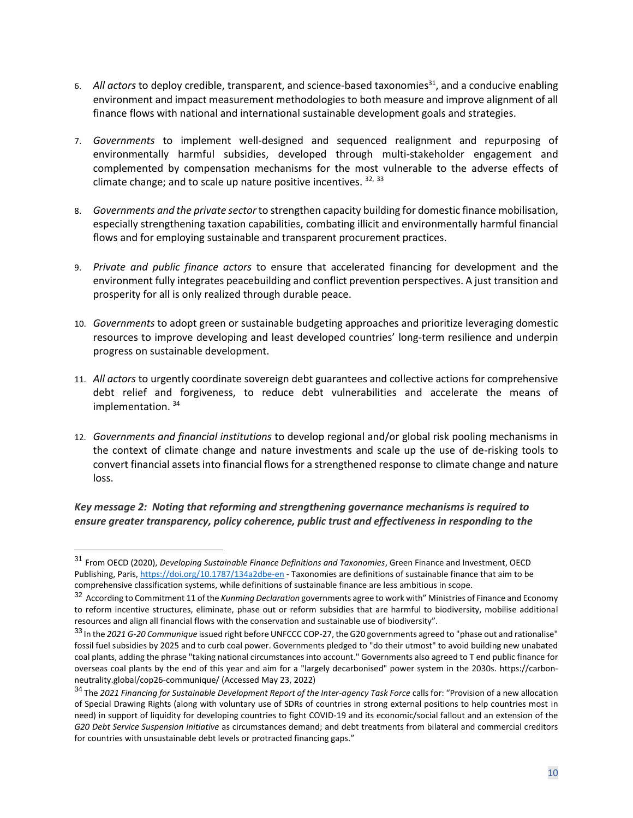- 6. All actors to deploy credible, transparent, and science-based taxonomies<sup>31</sup>, and a conducive enabling environment and impact measurement methodologies to both measure and improve alignment of all finance flows with national and international sustainable development goals and strategies.
- 7. *Governments* to implement well-designed and sequenced realignment and repurposing of environmentally harmful subsidies, developed through multi-stakeholder engagement and complemented by compensation mechanisms for the most vulnerable to the adverse effects of climate change; and to scale up nature positive incentives. 32, 33
- 8. *Governments and the private sector* to strengthen capacity building for domestic finance mobilisation, especially strengthening taxation capabilities, combating illicit and environmentally harmful financial flows and for employing sustainable and transparent procurement practices.
- 9. *Private and public finance actors* to ensure that accelerated financing for development and the environment fully integrates peacebuilding and conflict prevention perspectives. A just transition and prosperity for all is only realized through durable peace.
- 10. *Governments* to adopt green or sustainable budgeting approaches and prioritize leveraging domestic resources to improve developing and least developed countries' long-term resilience and underpin progress on sustainable development.
- 11. *All actors* to urgently coordinate sovereign debt guarantees and collective actions for comprehensive debt relief and forgiveness, to reduce debt vulnerabilities and accelerate the means of implementation.<sup>34</sup>
- 12. *Governments and financial institutions* to develop regional and/or global risk pooling mechanisms in the context of climate change and nature investments and scale up the use of de-risking tools to convert financial assets into financial flows for a strengthened response to climate change and nature loss.

*Key message 2: Noting that reforming and strengthening governance mechanisms is required to ensure greater transparency, policy coherence, public trust and effectiveness in responding to the* 

<sup>31</sup> From OECD (2020), *Developing Sustainable Finance Definitions and Taxonomies*, Green Finance and Investment, OECD Publishing, Paris, https://doi.org/10.1787/134a2dbe-en - Taxonomies are definitions of sustainable finance that aim to be comprehensive classification systems, while definitions of sustainable finance are less ambitious in scope.

<sup>32</sup> According to Commitment 11 of the *Kunming Declaration* governments agree to work with" Ministries of Finance and Economy to reform incentive structures, eliminate, phase out or reform subsidies that are harmful to biodiversity, mobilise additional resources and align all financial flows with the conservation and sustainable use of biodiversity".

<sup>33</sup> In the *2021 G-20 Communique* issued right before UNFCCC COP-27, the G20 governments agreed to "phase out and rationalise" fossil fuel subsidies by 2025 and to curb coal power. Governments pledged to "do their utmost" to avoid building new unabated coal plants, adding the phrase "taking national circumstances into account." Governments also agreed to T end public finance for overseas coal plants by the end of this year and aim for a "largely decarbonised" power system in the 2030s. https://carbonneutrality.global/cop26-communique/ (Accessed May 23, 2022)

<sup>&</sup>lt;sup>34</sup> The 2021 Financina for Sustainable Development Report of the Inter-agency Task Force calls for: "Provision of a new allocation of Special Drawing Rights (along with voluntary use of SDRs of countries in strong external positions to help countries most in need) in support of liquidity for developing countries to fight COVID-19 and its economic/social fallout and an extension of the *G20 Debt Service Suspension Initiative* as circumstances demand; and debt treatments from bilateral and commercial creditors for countries with unsustainable debt levels or protracted financing gaps."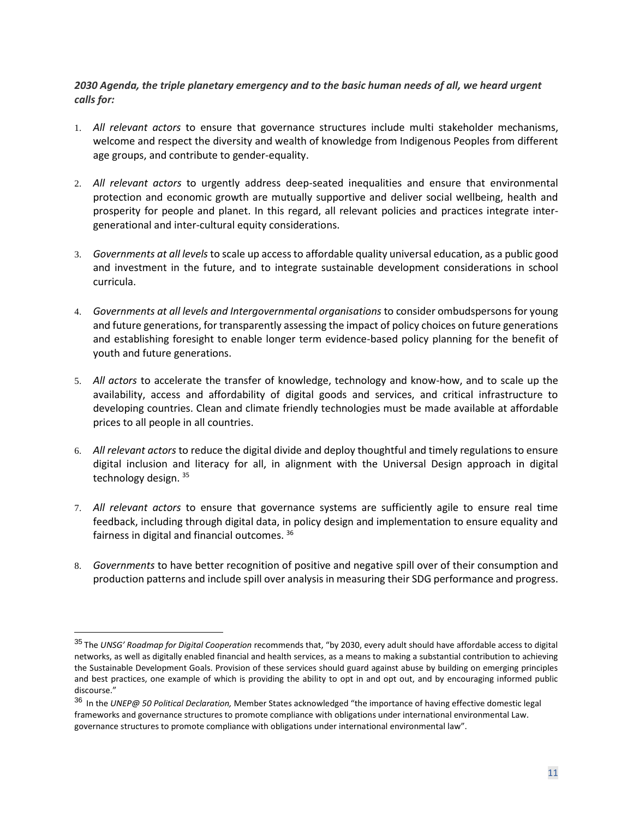*2030 Agenda, the triple planetary emergency and to the basic human needs of all, we heard urgent calls for:*

- 1. *All relevant actors* to ensure that governance structures include multi stakeholder mechanisms, welcome and respect the diversity and wealth of knowledge from Indigenous Peoples from different age groups, and contribute to gender-equality.
- 2. *All relevant actors* to urgently address deep-seated inequalities and ensure that environmental protection and economic growth are mutually supportive and deliver social wellbeing, health and prosperity for people and planet. In this regard, all relevant policies and practices integrate intergenerational and inter-cultural equity considerations.
- 3. *Governments at all levels* to scale up access to affordable quality universal education, as a public good and investment in the future, and to integrate sustainable development considerations in school curricula.
- 4. *Governments at all levels and Intergovernmental organisations* to consider ombudspersons for young and future generations, for transparently assessing the impact of policy choices on future generations and establishing foresight to enable longer term evidence-based policy planning for the benefit of youth and future generations.
- 5. *All actors* to accelerate the transfer of knowledge, technology and know-how, and to scale up the availability, access and affordability of digital goods and services, and critical infrastructure to developing countries. Clean and climate friendly technologies must be made available at affordable prices to all people in all countries.
- 6. *All relevant actors* to reduce the digital divide and deploy thoughtful and timely regulations to ensure digital inclusion and literacy for all, in alignment with the Universal Design approach in digital technology design. 35
- 7. *All relevant actors* to ensure that governance systems are sufficiently agile to ensure real time feedback, including through digital data, in policy design and implementation to ensure equality and fairness in digital and financial outcomes. <sup>36</sup>
- 8. *Governments* to have better recognition of positive and negative spill over of their consumption and production patterns and include spill over analysis in measuring their SDG performance and progress.

<sup>35</sup> The *UNSG' Roadmap for Digital Cooperation* recommends that, "by 2030, every adult should have affordable access to digital networks, as well as digitally enabled financial and health services, as a means to making a substantial contribution to achieving the Sustainable Development Goals. Provision of these services should guard against abuse by building on emerging principles and best practices, one example of which is providing the ability to opt in and opt out, and by encouraging informed public discourse."

<sup>36</sup> In the *UNEP@ 50 Political Declaration,* Member States acknowledged "the importance of having effective domestic legal frameworks and governance structures to promote compliance with obligations under international environmental Law. governance structures to promote compliance with obligations under international environmental law".